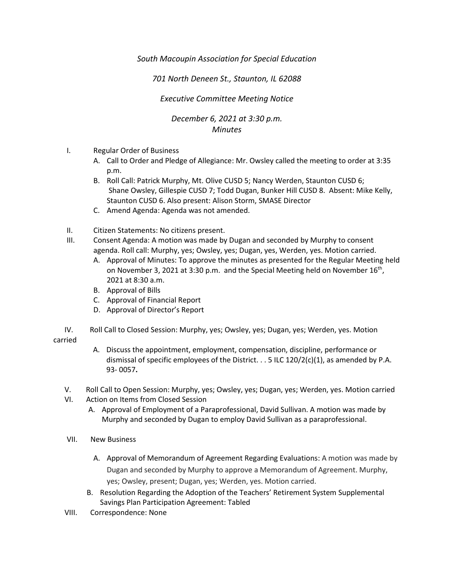## *South Macoupin Association for Special Education*

## *701 North Deneen St., Staunton, IL 62088*

## *Executive Committee Meeting Notice*

## *December 6, 2021 at 3:30 p.m. Minutes*

- I. Regular Order of Business
	- A. Call to Order and Pledge of Allegiance: Mr. Owsley called the meeting to order at 3:35 p.m.
	- B. Roll Call: Patrick Murphy, Mt. Olive CUSD 5; Nancy Werden, Staunton CUSD 6; Shane Owsley, Gillespie CUSD 7; Todd Dugan, Bunker Hill CUSD 8. Absent: Mike Kelly, Staunton CUSD 6. Also present: Alison Storm, SMASE Director
	- C. Amend Agenda: Agenda was not amended.
- II. Citizen Statements: No citizens present.
- III. Consent Agenda: A motion was made by Dugan and seconded by Murphy to consent agenda. Roll call: Murphy, yes; Owsley, yes; Dugan, yes, Werden, yes. Motion carried.
	- A. Approval of Minutes: To approve the minutes as presented for the Regular Meeting held on November 3, 2021 at 3:30 p.m. and the Special Meeting held on November  $16^{th}$ , 2021 at 8:30 a.m.
	- B. Approval of Bills
	- C. Approval of Financial Report
	- D. Approval of Director's Report
- IV. Roll Call to Closed Session: Murphy, yes; Owsley, yes; Dugan, yes; Werden, yes. Motion carried
	- A. Discuss the appointment, employment, compensation, discipline, performance or dismissal of specific employees of the District.  $\ldots$  5 ILC 120/2(c)(1), as amended by P.A. 93- 0057**.**
	- V. Roll Call to Open Session: Murphy, yes; Owsley, yes; Dugan, yes; Werden, yes. Motion carried
	- VI. Action on Items from Closed Session
		- A. Approval of Employment of a Paraprofessional, David Sullivan. A motion was made by Murphy and seconded by Dugan to employ David Sullivan as a paraprofessional.
	- VII. New Business
		- A. Approval of Memorandum of Agreement Regarding Evaluations: A motion was made by Dugan and seconded by Murphy to approve a Memorandum of Agreement. Murphy, yes; Owsley, present; Dugan, yes; Werden, yes. Motion carried.
		- B. Resolution Regarding the Adoption of the Teachers' Retirement System Supplemental Savings Plan Participation Agreement: Tabled
	- VIII. Correspondence: None